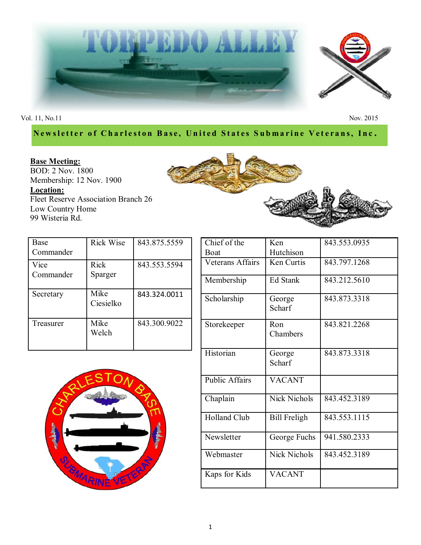

Vol. 11, No.11 Nov. 2015

## **Newsletter of Charleston Base, United States Submarine Veterans, Inc.**

# **Base Meeting:**

BOD: 2 Nov. 1800 Membership: 12 Nov. 1900 **Location:** Fleet Reserve Association Branch 26 Low Country Home 99 Wisteria Rd.



| <b>Base</b>       | <b>Rick Wise</b>  | 843.875.5559 |
|-------------------|-------------------|--------------|
| Commander         |                   |              |
| Vice<br>Commander | Rick<br>Sparger   | 843.553.5594 |
| Secretary         | Mike<br>Ciesielko | 843.324.0011 |
| Treasurer         | Mike<br>Welch     | 843.300.9022 |



| Chief of the          | Ken                 | 843.553.0935 |
|-----------------------|---------------------|--------------|
| Boat                  | Hutchison           |              |
| Veterans Affairs      | Ken Curtis          | 843.797.1268 |
| Membership            | Ed Stank            | 843.212.5610 |
| Scholarship           | George<br>Scharf    | 843.873.3318 |
| Storekeeper           | Ron<br>Chambers     | 843.821.2268 |
| Historian             | George<br>Scharf    | 843.873.3318 |
| <b>Public Affairs</b> | <b>VACANT</b>       |              |
| Chaplain              | <b>Nick Nichols</b> | 843.452.3189 |
| <b>Holland Club</b>   | <b>Bill Freligh</b> | 843.553.1115 |
| Newsletter            | George Fuchs        | 941.580.2333 |
| Webmaster             | <b>Nick Nichols</b> | 843.452.3189 |
| Kaps for Kids         | <b>VACANT</b>       |              |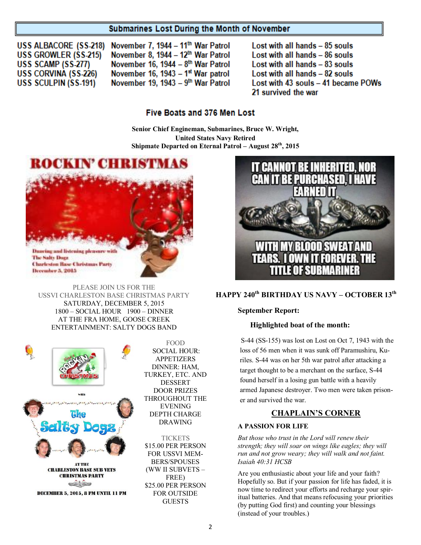## Submarines Lost During the Month of November

USS ALBACORE (SS-218) **USS GROWLER (SS-215)** USS SCAMP (SS-277) USS CORVINA (SS-226) **USS SCULPIN (SS-191)** 

November 7, 1944 - 11<sup>th</sup> War Patrol November 8, 1944 - 12<sup>th</sup> War Patrol November 16, 1944 - 8th War Patrol November 16, 1943 - 1<sup>st</sup> War patrol November 19, 1943 - 9th War Patrol Lost with all hands - 85 souls Lost with all hands - 86 souls Lost with all hands - 83 souls Lost with all hands - 82 souls Lost with 43 souls - 41 became POWs 21 survived the war

## **Five Boats and 376 Men Lost**

**Senior Chief Engineman, Submarines, Bruce W. Wright, United States Navy Retired Shipmate Departed on Eternal Patrol – August 28th, 2015**



PLEASE JOIN US FOR THE USSVI CHARLESTON BASE CHRISTMAS PARTY SATURDAY, DECEMBER 5, 2015 1800 – SOCIAL HOUR 1900 – DINNER AT THE FRA HOME, GOOSE CREEK

ENTERTAINMENT: SALTY DOGS BAND



FOOD SOCIAL HOUR: APPETIZERS DINNER: HAM, TURKEY, ETC. AND DESSERT DOOR PRIZES THROUGHOUT THE EVENING DEPTH CHARGE DRAWING

**TICKETS** \$15.00 PER PERSON FOR USSVI MEM-BERS/SPOUSES (WW II SUBVETS – FREE) \$25.00 PER PERSON FOR OUTSIDE GUESTS



## **HAPPY 240th BIRTHDAY US NAVY – OCTOBER 13th**

#### **September Report:**

#### **Highlighted boat of the month:**

S-44 (SS-155) was lost on Lost on Oct 7, 1943 with the loss of 56 men when it was sunk off Paramushiru, Kuriles. S-44 was on her 5th war patrol after attacking a target thought to be a merchant on the surface, S-44 found herself in a losing gun battle with a heavily armed Japanese destroyer. Two men were taken prisoner and survived the war.

## **CHAPLAIN"S CORNER**

### **A PASSION FOR LIFE**

*But those who trust in the Lord will renew their strength; they will soar on wings like eagles; they will run and not grow weary; they will walk and not faint. Isaiah 40:31 HCSB*

Are you enthusiastic about your life and your faith? Hopefully so. But if your passion for life has faded, it is now time to redirect your efforts and recharge your spiritual batteries. And that means refocusing your priorities (by putting God first) and counting your blessings (instead of your troubles.)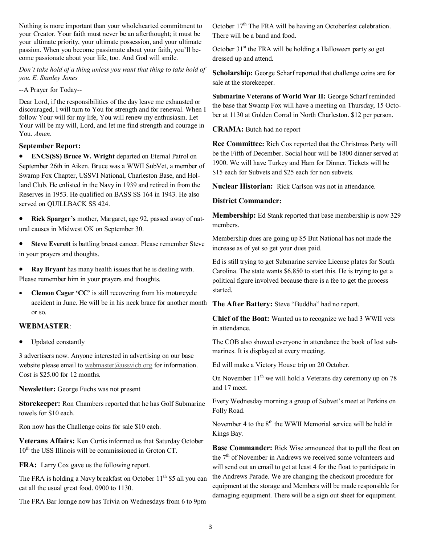Nothing is more important than your wholehearted commitment to your Creator. Your faith must never be an afterthought; it must be your ultimate priority, your ultimate possession, and your ultimate passion. When you become passionate about your faith, you'll become passionate about your life, too. And God will smile.

*Don't take hold of a thing unless you want that thing to take hold of you. E. Stanley Jones*

## --A Prayer for Today--

Dear Lord, if the responsibilities of the day leave me exhausted or discouraged, I will turn to You for strength and for renewal. When I follow Your will for my life, You will renew my enthusiasm. Let Your will be my will, Lord, and let me find strength and courage in You. *Amen.*

## **September Report:**

 **ENCS(SS) Bruce W. Wright** departed on Eternal Patrol on September 26th in Aiken. Bruce was a WWII SubVet, a member of Swamp Fox Chapter, USSVI National, Charleston Base, and Holland Club. He enlisted in the Navy in 1939 and retired in from the Reserves in 1953. He qualified on BASS SS 164 in 1943. He also served on QUILLBACK SS 424.

 **Rick Sparger"s** mother, Margaret, age 92, passed away of natural causes in Midwest OK on September 30.

 **Steve Everett** is battling breast cancer. Please remember Steve in your prayers and thoughts.

 **Ray Bryant** has many health issues that he is dealing with. Please remember him in your prayers and thoughts.

• **Clemon Cager 'CC'** is still recovering from his motorcycle accident in June. He will be in his neck brace for another month or so.

## **WEBMASTER**:

• Updated constantly

3 advertisers now. Anyone interested in advertising on our base website please email to [webmaster@ussvicb.org](mailto:webmaster@ussvicb.org) for information. Cost is \$25.00 for 12 months.

**Newsletter:** George Fuchs was not present

**Storekeeper:** Ron Chambers reported that he has Golf Submarine towels for \$10 each.

Ron now has the Challenge coins for sale \$10 each.

**Veterans Affairs:** Ken Curtis informed us that Saturday October 10<sup>th</sup> the USS Illinois will be commissioned in Groton CT.

**FRA:** Larry Cox gave us the following report.

The FRA is holding a Navy breakfast on October  $11<sup>th</sup>$  \$5 all you can eat all the usual great food. 0900 to 1130.

The FRA Bar lounge now has Trivia on Wednesdays from 6 to 9pm

October 17<sup>th</sup> The FRA will be having an Octoberfest celebration. There will be a band and food.

October  $31<sup>st</sup>$  the FRA will be holding a Halloween party so get dressed up and attend.

**Scholarship:** George Scharf reported that challenge coins are for sale at the storekeeper.

**Submarine Veterans of World War II: George Scharf reminded** the base that Swamp Fox will have a meeting on Thursday, 15 October at 1130 at Golden Corral in North Charleston. \$12 per person.

**CRAMA:** Butch had no report

**Rec Committee:** Rich Cox reported that the Christmas Party will be the Fifth of December. Social hour will be 1800 dinner served at 1900. We will have Turkey and Ham for Dinner. Tickets will be \$15 each for Subvets and \$25 each for non subvets.

**Nuclear Historian:** Rick Carlson was not in attendance.

## **District Commander:**

**Membership:** Ed Stank reported that base membership is now 329 members.

Membership dues are going up \$5 But National has not made the increase as of yet so get your dues paid.

Ed is still trying to get Submarine service License plates for South Carolina. The state wants \$6,850 to start this. He is trying to get a political figure involved because there is a fee to get the process started.

The After Battery: Steve "Buddha" had no report.

**Chief of the Boat:** Wanted us to recognize we had 3 WWII vets in attendance.

The COB also showed everyone in attendance the book of lost submarines. It is displayed at every meeting.

Ed will make a Victory House trip on 20 October.

On November  $11<sup>th</sup>$  we will hold a Veterans day ceremony up on 78 and 17 meet.

Every Wednesday morning a group of Subvet's meet at Perkins on Folly Road.

November 4 to the  $8<sup>th</sup>$  the WWII Memorial service will be held in Kings Bay.

**Base Commander:** Rick Wise announced that to pull the float on the 7<sup>th</sup> of November in Andrews we received some volunteers and will send out an email to get at least 4 for the float to participate in the Andrews Parade. We are changing the checkout procedure for equipment at the storage and Members will be made responsible for damaging equipment. There will be a sign out sheet for equipment.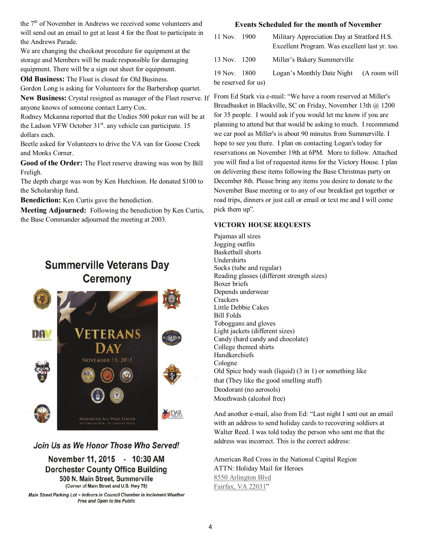the 7<sup>th</sup> of November in Andrews we received some volunteers and will send out an email to get at least 4 for the float to participate in the Andrews Parade.

We are changing the checkout procedure for equipment at the storage and Members will be made responsible for damaging equipment. There will be a sign out sheet for equipment.

**Old Business:** The Float is closed for Old Business.

Gordon Long is asking for Volunteers for the Barbershop quartet.

**New Business:** Crystal resigned as manager of the Fleet reserve. If anyone knows of someone contact Larry Cox.

Rodney Mckanna reported that the Undies 500 poker run will be at the Ladson VFW October  $31<sup>st</sup>$ . any vehicle can participate. 15 dollars each.

Beetle asked for Volunteers to drive the VA van for Goose Creek and Monks Corner.

**Good of the Order:** The Fleet reserve drawing was won by Bill Freligh.

The depth charge was won by Ken Hutchison. He donated \$100 to the Scholarship fund.

**Benediction:** Ken Curtis gave the benediction.

**Meeting Adjourned:** Following the benediction by Ken Curtis, the Base Commander adjourned the meeting at 2003.

# **Summerville Veterans Day Ceremony**



## Join Us as We Honor Those Who Served!

November 11, 2015 - 10:30 AM **Dorchester County Office Building** 500 N. Main Street, Summerville (Corner of Main Street and U.S. Hwy 78)

Main Street Parking Lot ~ Indoors in Council Chamber in Inclement Weather Free and Open to the Public

#### **Events Scheduled for the month of November**

| 11 Nov. 1900 |                     | Military Appreciation Day at Stratford H.S.    |              |  |
|--------------|---------------------|------------------------------------------------|--------------|--|
|              |                     | Excellent Program. Was excellent last yr. too. |              |  |
| 13 Nov. 1200 |                     | Miller's Bakery Summerville                    |              |  |
| 19 Nov. 1800 |                     | Logan's Monthly Date Night                     | (A room will |  |
|              | be reserved for us) |                                                |              |  |

From Ed Stark via e-mail: "We have a room reserved at Miller's Breadbasket in Blackville, SC on Friday, November 13th @ 1200 for 35 people. I would ask if you would let me know if you are planning to attend but that would be asking to much. I recommend we car pool as Miller's is about 90 minutes from Summerville. I hope to see you there. I plan on contacting Logan's today for reservations on November 19th at 6PM. More to follow. Attached you will find a list of requested items for the Victory House. I plan on delivering these items following the Base Christmas party on December 8th. Please bring any items you desire to donate to the November Base meeting or to any of our breakfast get together or road trips, dinners or just call or email or text me and I will come pick them up".

## **VICTORY HOUSE REQUESTS**

Pajamas all sizes Jogging outfits Basketball shorts Undershirts Socks (tube and regular) Reading glasses (different strength sizes) Boxer briefs Depends underwear **Crackers** Little Debbie Cakes Bill Folds Toboggans and gloves Light jackets (different sizes) Candy (hard candy and chocolate) College themed shirts Handkerchiefs Cologne Old Spice body wash (liquid) (3 in 1) or something like that (They like the good smelling stuff) Deodorant (no aerosols) Mouthwash (alcohol free)

And another e-mail, also from Ed: "Last night I sent out an email with an address to send holiday cards to recovering soldiers at Walter Reed. I was told today the person who sent me that the address was incorrect. This is the correct address:

American Red Cross in the National Capital Region ATTN: Holiday Mail for Heroes 8550 Arlington Blvd Fairfax, VA 22031"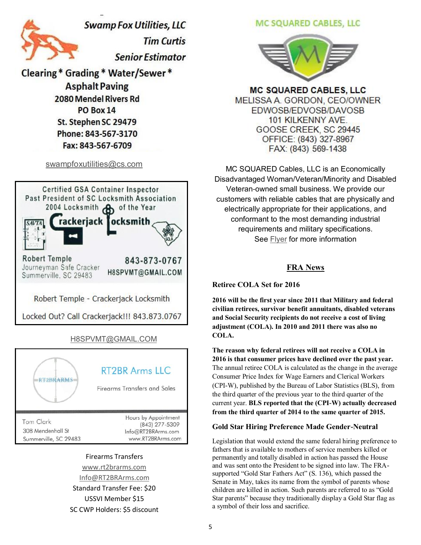

**Swamp Fox Utilities, LLC Tim Curtis Senior Estimator** 

**Clearing \* Grading \* Water/Sewer \* Asphalt Paving** 2080 Mendel Rivers Rd PO Box 14 St. Stephen SC 29479 Phone: 843-567-3170 Fax: 843-567-6709

[swampfoxutilities@cs.com](mailto:swampfoxutilities@cs.com)



[H8SPVMT@GMAIL.COM](mailto:H8SPVMT@GMAIL.COM) RT2BR Arms IIC **RT2BRARMS Firearms Transfers and Sales** Hours by Appointment **Tom Clark** (843) 277-5309 308 Mendenhall St Info@RT2BRArms.com Summerville, SC 29483 www.RT2BRArms.com

#### Firearms Transfers

[www.rt2brarms.com](http://rt2brarms.com/) [Info@RT2BRArms.com](mailto:Info@RT2BRArms.com)

Standard Transfer Fee: \$20 USSVI Member \$15 SC CWP Holders: \$5 discount MC SQUARED CABLES, LLC



**MC SQUARED CABLES, LLC** MELISSA A. GORDON, CEO/OWNER EDWOSB/EDVOSB/DAVOSB 101 KILKENNY AVE. GOOSE CREEK, SC 29445 OFFICE: (843) 327-8967 FAX: (843) 569-1438

MC SQUARED Cables, LLC is an Economically Disadvantaged Woman/Veteran/Minority and Disabled Veteran-owned small business. We provide our customers with reliable cables that are physically and electrically appropriate for their applications, and conformant to the most demanding industrial requirements and military specifications. See [Flyer](http://www.ussvicb.org/business-discounts/MC%20SQUARED%20Business%20Description.pdf) for more information

## **FRA News**

**Retiree COLA Set for 2016**

**2016 will be the first year since 2011 that Military and federal civilian retirees, survivor benefit annuitants, disabled veterans and Social Security recipients do not receive a cost of living adjustment (COLA). In 2010 and 2011 there was also no COLA.**

**The reason why federal retirees will not receive a COLA in 2016 is that consumer prices have declined over the past year.** The annual retiree COLA is calculated as the change in the average Consumer Price Index for Wage Earners and Clerical Workers (CPI-W), published by the Bureau of Labor Statistics (BLS), from the third quarter of the previous year to the third quarter of the current year. **BLS reported that the (CPI-W) actually decreased from the third quarter of 2014 to the same quarter of 2015.**

#### **Gold Star Hiring Preference Made Gender-Neutral**

Legislation that would extend the same federal hiring preference to fathers that is available to mothers of service members killed or permanently and totally disabled in action has passed the House and was sent onto the President to be signed into law. The FRAsupported "Gold Star Fathers Act" (S. 136), which passed the Senate in May, takes its name from the symbol of parents whose children are killed in action. Such parents are referred to as "Gold" Star parents" because they traditionally display a Gold Star flag as a symbol of their loss and sacrifice.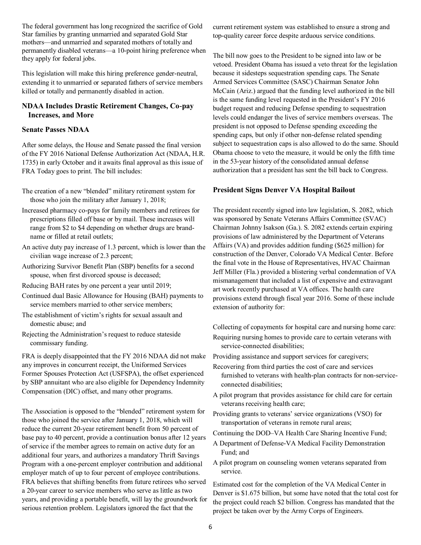The federal government has long recognized the sacrifice of Gold Star families by granting unmarried and separated Gold Star mothers—and unmarried and separated mothers of totally and permanently disabled veterans—a 10-point hiring preference when they apply for federal jobs.

This legislation will make this hiring preference gender-neutral, extending it to unmarried or separated fathers of service members killed or totally and permanently disabled in action.

## **NDAA Includes Drastic Retirement Changes, Co-pay Increases, and More**

## **Senate Passes NDAA**

After some delays, the House and Senate passed the final version of the FY 2016 National Defense Authorization Act (NDAA, H.R. 1735) in early October and it awaits final approval as this issue of FRA Today goes to print. The bill includes:

- The creation of a new "blended" military retirement system for those who join the military after January 1, 2018;
- Increased pharmacy co-pays for family members and retirees for prescriptions filled off base or by mail. These increases will range from \$2 to \$4 depending on whether drugs are brandname or filled at retail outlets;
- An active duty pay increase of 1.3 percent, which is lower than the civilian wage increase of 2.3 percent;
- Authorizing Survivor Benefit Plan (SBP) benefits for a second spouse, when first divorced spouse is deceased;
- Reducing BAH rates by one percent a year until 2019;
- Continued dual Basic Allowance for Housing (BAH) payments to service members married to other service members;
- The establishment of victim's rights for sexual assault and domestic abuse; and
- Rejecting the Administration's request to reduce stateside commissary funding.

FRA is deeply disappointed that the FY 2016 NDAA did not make any improves in concurrent receipt, the Uniformed Services Former Spouses Protection Act (USFSPA), the offset experienced by SBP annuitant who are also eligible for Dependency Indemnity Compensation (DIC) offset, and many other programs.

The Association is opposed to the "blended" retirement system for those who joined the service after January 1, 2018, which will reduce the current 20-year retirement benefit from 50 percent of base pay to 40 percent, provide a continuation bonus after 12 years of service if the member agrees to remain on active duty for an additional four years, and authorizes a mandatory Thrift Savings Program with a one-percent employer contribution and additional employer match of up to four percent of employee contributions. FRA believes that shifting benefits from future retirees who served a 20-year career to service members who serve as little as two years, and providing a portable benefit, will lay the groundwork for serious retention problem. Legislators ignored the fact that the

current retirement system was established to ensure a strong and top-quality career force despite arduous service conditions.

The bill now goes to the President to be signed into law or be vetoed. President Obama has issued a veto threat for the legislation because it sidesteps sequestration spending caps. The Senate Armed Services Committee (SASC) Chairman Senator John McCain (Ariz.) argued that the funding level authorized in the bill is the same funding level requested in the President's FY 2016 budget request and reducing Defense spending to sequestration levels could endanger the lives of service members overseas. The president is not opposed to Defense spending exceeding the spending caps, but only if other non-defense related spending subject to sequestration caps is also allowed to do the same. Should Obama choose to veto the measure, it would be only the fifth time in the 53-year history of the consolidated annual defense authorization that a president has sent the bill back to Congress.

## **President Signs Denver VA Hospital Bailout**

The president recently signed into law legislation, S. 2082, which was sponsored by Senate Veterans Affairs Committee (SVAC) Chairman Johnny Isakson (Ga.). S. 2082 extends certain expiring provisions of law administered by the Department of Veterans Affairs (VA) and provides addition funding (\$625 million) for construction of the Denver, Colorado VA Medical Center. Before the final vote in the House of Representatives, HVAC Chairman Jeff Miller (Fla.) provided a blistering verbal condemnation of VA mismanagement that included a list of expensive and extravagant art work recently purchased at VA offices. The health care provisions extend through fiscal year 2016. Some of these include extension of authority for:

Collecting of copayments for hospital care and nursing home care: Requiring nursing homes to provide care to certain veterans with service-connected disabilities;

Providing assistance and support services for caregivers;

- Recovering from third parties the cost of care and services furnished to veterans with health-plan contracts for non-serviceconnected disabilities;
- A pilot program that provides assistance for child care for certain veterans receiving health care;
- Providing grants to veterans' service organizations (VSO) for transportation of veterans in remote rural areas;
- Continuing the DOD–VA Health Care Sharing Incentive Fund;
- A Department of Defense-VA Medical Facility Demonstration Fund; and
- A pilot program on counseling women veterans separated from service.

Estimated cost for the completion of the VA Medical Center in Denver is \$1.675 billion, but some have noted that the total cost for the project could reach \$2 billion. Congress has mandated that the project be taken over by the Army Corps of Engineers.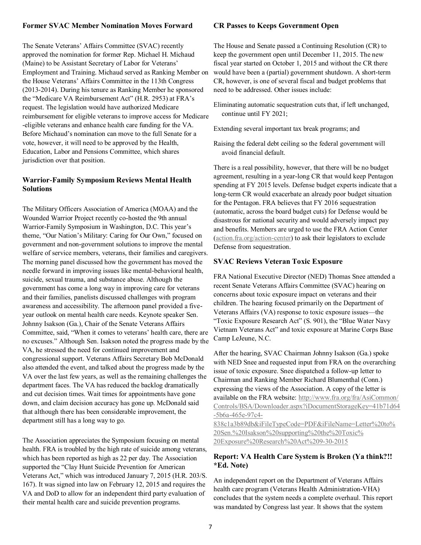#### **Former SVAC Member Nomination Moves Forward**

The Senate Veterans' Affairs Committee (SVAC) recently approved the nomination for former Rep. Michael H. Michaud (Maine) to be Assistant Secretary of Labor for Veterans' Employment and Training. Michaud served as Ranking Member on the House Veterans' Affairs Committee in the 113th Congress (2013-2014). During his tenure as Ranking Member he sponsored the "Medicare VA Reimbursement Act" (H.R. 2953) at FRA's request. The legislation would have authorized Medicare reimbursement for eligible veterans to improve access for Medicare -eligible veterans and enhance health care funding for the VA. Before Michaud's nomination can move to the full Senate for a vote, however, it will need to be approved by the Health, Education, Labor and Pensions Committee, which shares jurisdiction over that position.

## **Warrior-Family Symposium Reviews Mental Health Solutions**

The Military Officers Association of America (MOAA) and the Wounded Warrior Project recently co-hosted the 9th annual Warrior-Family Symposium in Washington, D.C. This year's theme, "Our Nation's Military: Caring for Our Own," focused on government and non-government solutions to improve the mental welfare of service members, veterans, their families and caregivers. The morning panel discussed how the government has moved the needle forward in improving issues like mental-behavioral health, suicide, sexual trauma, and substance abuse. Although the government has come a long way in improving care for veterans and their families, panelists discussed challenges with program awareness and accessibility. The afternoon panel provided a fiveyear outlook on mental health care needs. Keynote speaker Sen. Johnny Isakson (Ga.), Chair of the Senate Veterans Affairs Committee, said, "When it comes to veterans' health care, there are no excuses.‖ Although Sen. Isakson noted the progress made by the VA, he stressed the need for continued improvement and congressional support. Veterans Affairs Secretary Bob McDonald also attended the event, and talked about the progress made by the VA over the last few years, as well as the remaining challenges the department faces. The VA has reduced the backlog dramatically and cut decision times. Wait times for appointments have gone down, and claim decision accuracy has gone up. McDonald said that although there has been considerable improvement, the department still has a long way to go.

The Association appreciates the Symposium focusing on mental health. FRA is troubled by the high rate of suicide among veterans, which has been reported as high as 22 per day. The Association supported the "Clay Hunt Suicide Prevention for American Veterans Act," which was introduced January 7, 2015 (H.R. 203/S. 167). It was signed into law on February 12, 2015 and requires the VA and DoD to allow for an independent third party evaluation of their mental health care and suicide prevention programs.

#### **CR Passes to Keeps Government Open**

The House and Senate passed a Continuing Resolution (CR) to keep the government open until December 11, 2015. The new fiscal year started on October 1, 2015 and without the CR there would have been a (partial) government shutdown. A short-term CR, however, is one of several fiscal and budget problems that need to be addressed. Other issues include:

- Eliminating automatic sequestration cuts that, if left unchanged, continue until FY 2021;
- Extending several important tax break programs; and
- Raising the federal debt ceiling so the federal government will avoid financial default.

There is a real possibility, however, that there will be no budget agreement, resulting in a year-long CR that would keep Pentagon spending at FY 2015 levels. Defense budget experts indicate that a long-term CR would exacerbate an already poor budget situation for the Pentagon. FRA believes that FY 2016 sequestration (automatic, across the board budget cuts) for Defense would be disastrous for national security and would adversely impact pay and benefits. Members are urged to use the FRA Action Center [\(action.fra.org/action-center\)](http://cqrcengage.com/fra/app/thru?ep=AAAAC2Flc0NpcGhlcjAxE3zdBMA9d9xjK_T1XVUH-0jWeFuV54frjKcwFf31nbm3Av6lbVNO1cb87vbJb06TqcDj6eoYo6eU-wnuh8vopnngwavUhQ3LEuCKHlPIr4f6pQbcS8NpvblpbUaDPvVjoMhkNyMR9yOZ46UFvTDLfw&lp=0) to ask their legislators to exclude Defense from sequestration.

#### **SVAC Reviews Veteran Toxic Exposure**

FRA National Executive Director (NED) Thomas Snee attended a recent Senate Veterans Affairs Committee (SVAC) hearing on concerns about toxic exposure impact on veterans and their children. The hearing focused primarily on the Department of Veterans Affairs (VA) response to toxic exposure issues—the "Toxic Exposure Research Act" (S. 901), the "Blue Water Navy Vietnam Veterans Act" and toxic exposure at Marine Corps Base Camp LeJeune, N.C.

After the hearing, SVAC Chairman Johnny Isakson (Ga.) spoke with NED Snee and requested input from FRA on the overarching issue of toxic exposure. Snee dispatched a follow-up letter to Chairman and Ranking Member Richard Blumenthal (Conn.) expressing the views of the Association. A copy of the letter is available on the FRA website: [http://www.fra.org/fra/AsiCommon/](http://cqrcengage.com/fra/app/thru?ep=AAAAC2Flc0NpcGhlcjAxiZi7cmB4yd_ccIkQj145yGTlTPEWdzz4tKHe9keU_Uk8IVkpvboDhzI4mmCRVd-z9J5lpVdU-dwjXImJ0GZxoJFBmStuZBq3ILac-yjNIOKCnhRPezVextIp07xqZ9uYdVb28VFL_38V2FAqA_XUS77e828LGpMXyILiuiIVmKCHJnER6eTV9Nslr6lkuLoF49ySS0WAb) [Controls/BSA/Downloader.aspx?iDocumentStorageKey=41b71d64](http://cqrcengage.com/fra/app/thru?ep=AAAAC2Flc0NpcGhlcjAxiZi7cmB4yd_ccIkQj145yGTlTPEWdzz4tKHe9keU_Uk8IVkpvboDhzI4mmCRVd-z9J5lpVdU-dwjXImJ0GZxoJFBmStuZBq3ILac-yjNIOKCnhRPezVextIp07xqZ9uYdVb28VFL_38V2FAqA_XUS77e828LGpMXyILiuiIVmKCHJnER6eTV9Nslr6lkuLoF49ySS0WAb) [-5b6a-465e-97c4-](http://cqrcengage.com/fra/app/thru?ep=AAAAC2Flc0NpcGhlcjAxiZi7cmB4yd_ccIkQj145yGTlTPEWdzz4tKHe9keU_Uk8IVkpvboDhzI4mmCRVd-z9J5lpVdU-dwjXImJ0GZxoJFBmStuZBq3ILac-yjNIOKCnhRPezVextIp07xqZ9uYdVb28VFL_38V2FAqA_XUS77e828LGpMXyILiuiIVmKCHJnER6eTV9Nslr6lkuLoF49ySS0WAb)

[838c1a3b89db&iFileTypeCode=PDF&iFileName=Letter%20to%](http://cqrcengage.com/fra/app/thru?ep=AAAAC2Flc0NpcGhlcjAxiZi7cmB4yd_ccIkQj145yGTlTPEWdzz4tKHe9keU_Uk8IVkpvboDhzI4mmCRVd-z9J5lpVdU-dwjXImJ0GZxoJFBmStuZBq3ILac-yjNIOKCnhRPezVextIp07xqZ9uYdVb28VFL_38V2FAqA_XUS77e828LGpMXyILiuiIVmKCHJnER6eTV9Nslr6lkuLoF49ySS0WAb) [20Sen.%20Isakson%20supporting%20the%20Toxic%](http://cqrcengage.com/fra/app/thru?ep=AAAAC2Flc0NpcGhlcjAxiZi7cmB4yd_ccIkQj145yGTlTPEWdzz4tKHe9keU_Uk8IVkpvboDhzI4mmCRVd-z9J5lpVdU-dwjXImJ0GZxoJFBmStuZBq3ILac-yjNIOKCnhRPezVextIp07xqZ9uYdVb28VFL_38V2FAqA_XUS77e828LGpMXyILiuiIVmKCHJnER6eTV9Nslr6lkuLoF49ySS0WAb) [20Exposure%20Research%20Act%209-30-2015](http://cqrcengage.com/fra/app/thru?ep=AAAAC2Flc0NpcGhlcjAxiZi7cmB4yd_ccIkQj145yGTlTPEWdzz4tKHe9keU_Uk8IVkpvboDhzI4mmCRVd-z9J5lpVdU-dwjXImJ0GZxoJFBmStuZBq3ILac-yjNIOKCnhRPezVextIp07xqZ9uYdVb28VFL_38V2FAqA_XUS77e828LGpMXyILiuiIVmKCHJnER6eTV9Nslr6lkuLoF49ySS0WAb)

## **Report: VA Health Care System is Broken (Ya think?!! \*Ed. Note)**

An independent report on the Department of Veterans Affairs health care program (Veterans Health Administration-VHA) concludes that the system needs a complete overhaul. This report was mandated by Congress last year. It shows that the system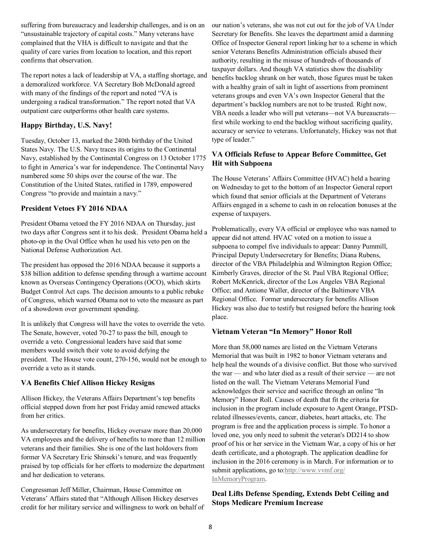suffering from bureaucracy and leadership challenges, and is on an "unsustainable trajectory of capital costs." Many veterans have complained that the VHA is difficult to navigate and that the quality of care varies from location to location, and this report confirms that observation.

The report notes a lack of leadership at VA, a staffing shortage, and a demoralized workforce. VA Secretary Bob McDonald agreed with many of the findings of the report and noted "VA is undergoing a radical transformation." The report noted that VA outpatient care outperforms other health care systems.

## **Happy Birthday, U.S. Navy!**

Tuesday, October 13, marked the 240th birthday of the United States Navy. The U.S. Navy traces its origins to the Continental Navy, established by the Continental Congress on 13 October 1775 to fight in America's war for independence. The Continental Navy numbered some 50 ships over the course of the war. The Constitution of the United States, ratified in 1789, empowered Congress "to provide and maintain a navy."

## **President Vetoes FY 2016 NDAA**

President Obama vetoed the FY 2016 NDAA on Thursday, just two days after Congress sent it to his desk. President Obama held a photo-op in the Oval Office when he used his veto pen on the National Defense Authorization Act.

The president has opposed the 2016 NDAA because it supports a \$38 billion addition to defense spending through a wartime account known as Overseas Contingency Operations (OCO), which skirts Budget Control Act caps. The decision amounts to a public rebuke of Congress, which warned Obama not to veto the measure as part of a showdown over government spending.

It is unlikely that Congress will have the votes to override the veto. The Senate, however, voted 70-27 to pass the bill, enough to override a veto. Congressional leaders have said that some members would switch their vote to avoid defying the president. The House vote count, 270-156, would not be enough to override a veto as it stands.

## **VA Benefits Chief Allison Hickey Resigns**

Allison Hickey, the Veterans Affairs Department's top benefits official stepped down from her post Friday amid renewed attacks from her critics.

As undersecretary for benefits, Hickey oversaw more than 20,000 VA employees and the delivery of benefits to more than 12 million veterans and their families. She is one of the last holdovers from former VA Secretary Eric Shinseki's tenure, and was frequently praised by top officials for her efforts to modernize the department and her dedication to veterans.

Congressman Jeff Miller, Chairman, House Committee on Veterans' Affairs stated that "Although Allison Hickey deserves credit for her military service and willingness to work on behalf of our nation's veterans, she was not cut out for the job of VA Under Secretary for Benefits. She leaves the department amid a damning Office of Inspector General report linking her to a scheme in which senior Veterans Benefits Administration officials abused their authority, resulting in the misuse of hundreds of thousands of taxpayer dollars. And though VA statistics show the disability benefits backlog shrank on her watch, those figures must be taken with a healthy grain of salt in light of assertions from prominent veterans groups and even VA's own Inspector General that the department's backlog numbers are not to be trusted. Right now, VBA needs a leader who will put veterans—not VA bureaucrats first while working to end the backlog without sacrificing quality, accuracy or service to veterans. Unfortunately, Hickey was not that type of leader."

## **VA Officials Refuse to Appear Before Committee, Get Hit with Subpoena**

The House Veterans' Affairs Committee (HVAC) held a hearing on Wednesday to get to the bottom of an Inspector General report which found that senior officials at the Department of Veterans Affairs engaged in a scheme to cash in on relocation bonuses at the expense of taxpayers.

Problematically, every VA official or employee who was named to appear did not attend. HVAC voted on a motion to issue a subpoena to compel five individuals to appear: Danny Pummill, Principal Deputy Undersecretary for Benefits; Diana Rubens, director of the VBA Philadelphia and Wilmington Region Office; Kimberly Graves, director of the St. Paul VBA Regional Office; Robert McKenrick, director of the Los Angeles VBA Regional Office; and Antione Waller, director of the Baltimore VBA Regional Office. Former undersecretary for benefits Allison Hickey was also due to testify but resigned before the hearing took place.

## **Vietnam Veteran "In Memory" Honor Roll**

More than 58,000 names are listed on the Vietnam Veterans Memorial that was built in 1982 to honor Vietnam veterans and help heal the wounds of a divisive conflict. But those who survived the war — and who later died as a result of their service — are not listed on the wall. The Vietnam Veterans Memorial Fund acknowledges their service and sacrifice through an online "In Memory" Honor Roll. Causes of death that fit the criteria for inclusion in the program include exposure to Agent Orange, PTSDrelated illnesses/events, cancer, diabetes, heart attacks, etc. The program is free and the application process is simple. To honor a loved one, you only need to submit the veteran's DD214 to show proof of his or her service in the Vietnam War, a copy of his or her death certificate, and a photograph. The application deadline for inclusion in the 2016 ceremony is in March. For information or to submit applications, go to[:http://www.vvmf.org/](http://cqrcengage.com/fra/app/thru?ep=AAAAC2Flc0NpcGhlcjAxr35qc6hkjKgka2XkD2Pqp5aBEAFPIpc-v38c0rwqr7XfKC93lg5e3mRVdZXbc9NDJ4ObQlrzwpHOJ7g-bt-wrp9_HHPGxEqLSnuFQNBpfluvWLWAzmtGnIhWDSov0f3xNaXZobRAECgWyeicFaC-_w&lp=0) [InMemoryProgram.](http://cqrcengage.com/fra/app/thru?ep=AAAAC2Flc0NpcGhlcjAxr35qc6hkjKgka2XkD2Pqp5aBEAFPIpc-v38c0rwqr7XfKC93lg5e3mRVdZXbc9NDJ4ObQlrzwpHOJ7g-bt-wrp9_HHPGxEqLSnuFQNBpfluvWLWAzmtGnIhWDSov0f3xNaXZobRAECgWyeicFaC-_w&lp=0)

## **Deal Lifts Defense Spending, Extends Debt Ceiling and Stops Medicare Premium Increase**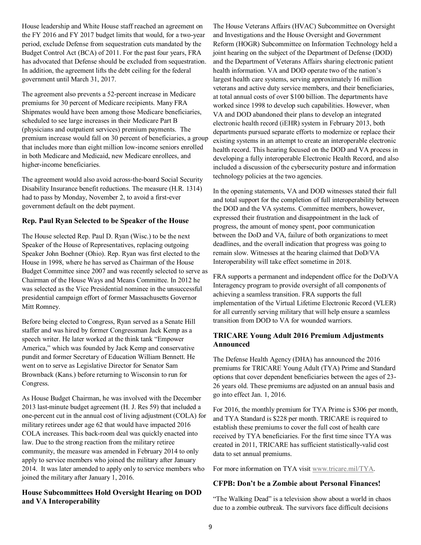House leadership and White House staff reached an agreement on the FY 2016 and FY 2017 budget limits that would, for a two-year period, exclude Defense from sequestration cuts mandated by the Budget Control Act (BCA) of 2011. For the past four years, FRA has advocated that Defense should be excluded from sequestration. In addition, the agreement lifts the debt ceiling for the federal government until March 31, 2017.

The agreement also prevents a 52-percent increase in Medicare premiums for 30 percent of Medicare recipients. Many FRA Shipmates would have been among those Medicare beneficiaries, scheduled to see large increases in their Medicare Part B (physicians and outpatient services) premium payments. The premium increase would fall on 30 percent of beneficiaries, a group that includes more than eight million low-income seniors enrolled in both Medicare and Medicaid, new Medicare enrollees, and higher-income beneficiaries.

The agreement would also avoid across-the-board Social Security Disability Insurance benefit reductions. The measure (H.R. 1314) had to pass by Monday, November 2, to avoid a first-ever government default on the debt payment.

## **Rep. Paul Ryan Selected to be Speaker of the House**

The House selected Rep. Paul D. Ryan (Wisc.) to be the next Speaker of the House of Representatives, replacing outgoing Speaker John Boehner (Ohio). Rep. Ryan was first elected to the House in 1998, where he has served as Chairman of the House Budget Committee since 2007 and was recently selected to serve as Chairman of the House Ways and Means Committee. In 2012 he was selected as the Vice Presidential nominee in the unsuccessful presidential campaign effort of former Massachusetts Governor Mitt Romney.

Before being elected to Congress, Ryan served as a Senate Hill staffer and was hired by former Congressman Jack Kemp as a speech writer. He later worked at the think tank "Empower" America," which was founded by Jack Kemp and conservative pundit and former Secretary of Education William Bennett. He went on to serve as Legislative Director for Senator Sam Brownback (Kans.) before returning to Wisconsin to run for Congress.

As House Budget Chairman, he was involved with the December 2013 last-minute budget agreement (H. J. Res 59) that included a one-percent cut in the annual cost of living adjustment (COLA) for military retirees under age 62 that would have impacted 2016 COLA increases. This back-room deal was quickly enacted into law. Due to the strong reaction from the military retiree community, the measure was amended in February 2014 to only apply to service members who joined the military after January 2014. It was later amended to apply only to service members who joined the military after January 1, 2016.

## **House Subcommittees Hold Oversight Hearing on DOD and VA Interoperability**

The House Veterans Affairs (HVAC) Subcommittee on Oversight and Investigations and the House Oversight and Government Reform (HOGR) Subcommittee on Information Technology held a joint hearing on the subject of the Department of Defense (DOD) and the Department of Veterans Affairs sharing electronic patient health information. VA and DOD operate two of the nation's largest health care systems, serving approximately 16 million veterans and active duty service members, and their beneficiaries, at total annual costs of over \$100 billion. The departments have worked since 1998 to develop such capabilities. However, when VA and DOD abandoned their plans to develop an integrated electronic health record (iEHR) system in February 2013, both departments pursued separate efforts to modernize or replace their existing systems in an attempt to create an interoperable electronic health record. This hearing focused on the DOD and VA process in developing a fully interoperable Electronic Health Record, and also included a discussion of the cybersecurity posture and information technology policies at the two agencies.

In the opening statements, VA and DOD witnesses stated their full and total support for the completion of full interoperability between the DOD and the VA systems. Committee members, however, expressed their frustration and disappointment in the lack of progress, the amount of money spent, poor communication between the DoD and VA, failure of both organizations to meet deadlines, and the overall indication that progress was going to remain slow. Witnesses at the hearing claimed that DoD/VA Interoperability will take effect sometime in 2018.

FRA supports a permanent and independent office for the DoD/VA Interagency program to provide oversight of all components of achieving a seamless transition. FRA supports the full implementation of the Virtual Lifetime Electronic Record (VLER) for all currently serving military that will help ensure a seamless transition from DOD to VA for wounded warriors.

## **TRICARE Young Adult 2016 Premium Adjustments Announced**

The Defense Health Agency (DHA) has announced the 2016 premiums for TRICARE Young Adult (TYA) Prime and Standard options that cover dependent beneficiaries between the ages of 23- 26 years old. These premiums are adjusted on an annual basis and go into effect Jan. 1, 2016.

For 2016, the monthly premium for TYA Prime is \$306 per month, and TYA Standard is \$228 per month. TRICARE is required to establish these premiums to cover the full cost of health care received by TYA beneficiaries. For the first time since TYA was created in 2011, TRICARE has sufficient statistically-valid cost data to set annual premiums.

For more information on TYA visit [www.tricare.mil/TYA.](http://cqrcengage.com/fra/app/thru?ep=AAAAC2Flc0NpcGhlcjAx15drMuuXpLxX4nDKoGgvBb9e34ri1FEEdAv3TsvB2vQiSh7Zic_nZCyJrTJMsCT2EwXzhe-syuODXffZnP7UOj-Qyf1PrsLViYS21-2Fzj0FmePEN5qi93zlLAev2F-m1-PP2bA3j0pGT7eW4umt7A&lp=0)

#### **CFPB: Don"t be a Zombie about Personal Finances!**

"The Walking Dead" is a television show about a world in chaos due to a zombie outbreak. The survivors face difficult decisions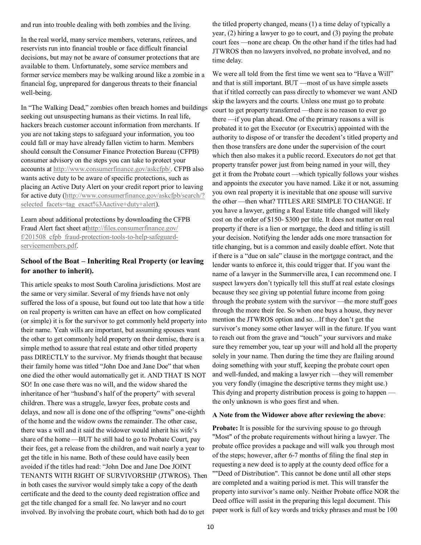and run into trouble dealing with both zombies and the living.

In the real world, many service members, veterans, retirees, and reservists run into financial trouble or face difficult financial decisions, but may not be aware of consumer protections that are available to them. Unfortunately, some service members and former service members may be walking around like a zombie in a financial fog, unprepared for dangerous threats to their financial well-being.

In "The Walking Dead," zombies often breach homes and buildings seeking out unsuspecting humans as their victims. In real life, hackers breach customer account information from merchants. If you are not taking steps to safeguard your information, you too could fall or may have already fallen victim to harm. Members should consult the Consumer Finance Protection Bureau (CFPB) consumer advisory on the steps you can take to protect your accounts at [http://www.consumerfinance.gov/askcfpb/.](http://cqrcengage.com/fra/app/thru?ep=AAAAC2Flc0NpcGhlcjAxZNCwQ03Mjfvv8CEImibYy101-_Wm_sR133tFBX-E9M9OeqYxMrgyh20IUUndWjjiive3BUisPYjGom2oR3VGj25PdgIXAtdvWRihhNaMod7lppugor8vf4z4eoef2tZhFRmx9cL2CBTAkaAeto9vpG_wVZlMk2s7SuRxyywOns0&lp=0) CFPB also wants active duty to be aware of specific protections, such as placing an Active Duty Alert on your credit report prior to leaving for active duty ([http://www.consumerfinance.gov/askcfpb/search/?](http://cqrcengage.com/fra/app/thru?ep=AAAAC2Flc0NpcGhlcjAxFM4U4j5-9SZ4GU1_S13Icj-s5nkXyVh1u3eCJTJrX3wILp3skD_1Pkp-qRIGAAXUR3ajFJ9UBV1JogQbB7BlUyqQpedAPDGFj0xVGDhRYp_uXikaYJuZfR27SMl47HyYU7ijS-ve4n0Vf1CM6SJsC5CaYqF_z2BnqYkk4IypWhPkXjqcZILyJCZ6Orc0wo7A7FikkUmpG) selected facets=tag\_exact%3Aactive+duty+alert).

Learn about additional protections by downloading the CFPB Fraud Alert fact sheet a[thttp://files.consumerfinance.gov/](http://cqrcengage.com/fra/app/thru?ep=AAAAC2Flc0NpcGhlcjAx-Cy_-_kAZTRg-qnb-DXvdZwRS6cLU7mdy9SgGW-ePEvhLZt48StSUdhnhe4GAA4R4RkVA6FuKIXaoULHBqKiyF-gXWLhNfh9KslV7jJIaQ5rNa5g5xzKGJ7UEKR0ZOSYQbbhzWG-kkSR18nniGrqj8XBEbxZpmNYo93-7I-uaHikLnFLwKVN6yZCX50dQdcLC3qzgm-dA) f/201508 cfpb fraud-protection-tools-to-help-safeguard[servicemembers.pdf.](http://cqrcengage.com/fra/app/thru?ep=AAAAC2Flc0NpcGhlcjAx-Cy_-_kAZTRg-qnb-DXvdZwRS6cLU7mdy9SgGW-ePEvhLZt48StSUdhnhe4GAA4R4RkVA6FuKIXaoULHBqKiyF-gXWLhNfh9KslV7jJIaQ5rNa5g5xzKGJ7UEKR0ZOSYQbbhzWG-kkSR18nniGrqj8XBEbxZpmNYo93-7I-uaHikLnFLwKVN6yZCX50dQdcLC3qzgm-dA)

## **School of the Boat – Inheriting Real Property (or leaving for another to inherit).**

This article speaks to most South Carolina jurisdictions. Most are the same or very similar. Several of my friends have not only suffered the loss of a spouse, but found out too late that how a title on real property is written can have an effect on how complicated (or simple) it is for the survivor to get commonly held property into their name. Yeah wills are important, but assuming spouses want the other to get commonly held property on their demise, there is a simple method to assure that real estate and other titled property pass DIRECTLY to the survivor. My friends thought that because their family home was titled "John Doe and Jane Doe" that when one died the other would automatically get it. AND THAT IS NOT SO! In one case there was no will, and the widow shared the inheritance of her "husband's half of the property" with several children. There was a struggle, lawyer fees, probate costs and delays, and now all is done one of the offspring "owns" one-eighth of the home and the widow owns the remainder. The other case, there was a will and it said the widower would inherit his wife's share of the home —BUT he still had to go to Probate Court, pay their fees, get a release from the children, and wait nearly a year to get the title in his name. Both of these could have easily been avoided if the titles had read: "John Doe and Jane Doe JOINT TENANTS WITH RIGHT OF SURVIVORSHIP (JTWROS). Then in both cases the survivor would simply take a copy of the death certificate and the deed to the county deed registration office and get the title changed for a small fee. No lawyer and no court involved. By involving the probate court, which both had do to get

the titled property changed, means (1) a time delay of typically a year, (2) hiring a lawyer to go to court, and (3) paying the probate court fees —none are cheap. On the other hand if the titles had had JTWROS then no lawyers involved, no probate involved, and no time delay.

We were all told from the first time we went sea to "Have a Will" and that is still important. BUT —most of us have simple assets that if titled correctly can pass directly to whomever we want AND skip the lawyers and the courts. Unless one must go to probate court to get property transferred —there is no reason to ever go there —if you plan ahead. One of the primary reasons a will is probated it to get the Executor (or Executrix) appointed with the authority to dispose of or transfer the decedent's titled property and then those transfers are done under the supervision of the court which then also makes it a public record. Executors do not get that property transfer power just from being named in your will, they get it from the Probate court —which typically follows your wishes and appoints the executor you have named. Like it or not, assuming you own real property it is inevitable that one spouse will survive the other —then what? TITLES ARE SIMPLE TO CHANGE. If you have a lawyer, getting a Real Estate title changed will likely cost on the order of \$150- \$300 per title. It does not matter on real property if there is a lien or mortgage, the deed and titling is still your decision. Notifying the lender adds one more transaction for title changing, but is a common and easily doable effort. Note that if there is a "due on sale" clause in the mortgage contract, and the lender wants to enforce it, this could trigger that. If you want the name of a lawyer in the Summerville area, I can recommend one. I suspect lawyers don't typically tell this stuff at real estate closings because they see giving up potential future income from going through the probate system with the survivor —the more stuff goes through the more their fee. So when one buys a house, they never mention the JTWROS option and so…If they don't get the survivor's money some other lawyer will in the future. If you want to reach out from the grave and "touch" your survivors and make sure they remember you, tear up your will and hold all the property solely in your name. Then during the time they are flailing around doing something with your stuff, keeping the probate court open and well-funded, and making a lawyer rich —they will remember you very fondly (imagine the descriptive terms they might use.) This dying and property distribution process is going to happen the only unknown is who goes first and when.

#### **A Note from the Widower above after reviewing the above**:

**Probate:** It is possible for the surviving spouse to go through "Most" of the probate requirements without hiring a lawyer. The probate office provides a package and will walk you through most of the steps; however, after 6-7 months of filing the final step in requesting a new deed is to apply at the county deed office for a ""Deed of Distribution". This cannot be done until all other steps are completed and a waiting period is met. This will transfer the property into survivor's name only. Neither Probate office NOR the Deed office will assist in the preparing this legal document. This paper work is full of key words and tricky phrases and must be 100